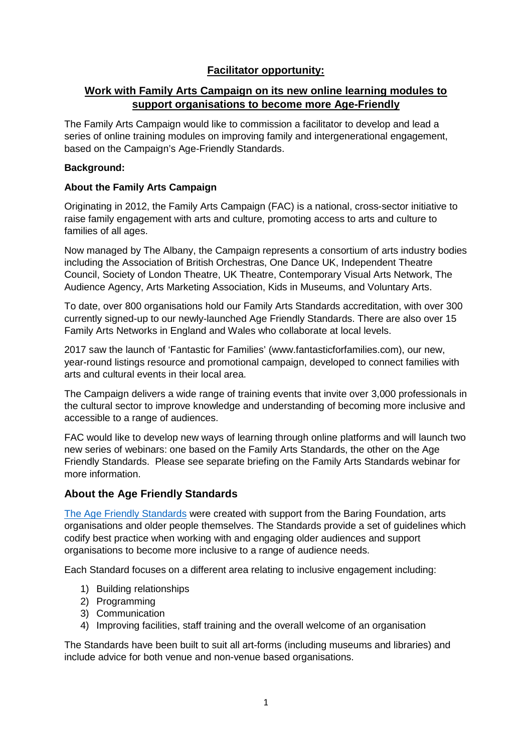# **Facilitator opportunity:**

# **Work with Family Arts Campaign on its new online learning modules to support organisations to become more Age-Friendly**

The Family Arts Campaign would like to commission a facilitator to develop and lead a series of online training modules on improving family and intergenerational engagement, based on the Campaign's Age-Friendly Standards.

### **Background:**

### **About the Family Arts Campaign**

Originating in 2012, the Family Arts Campaign (FAC) is a national, cross-sector initiative to raise family engagement with arts and culture, promoting access to arts and culture to families of all ages.

Now managed by The Albany, the Campaign represents a consortium of arts industry bodies including the Association of British Orchestras, One Dance UK, Independent Theatre Council, Society of London Theatre, UK Theatre, Contemporary Visual Arts Network, The Audience Agency, Arts Marketing Association, Kids in Museums, and Voluntary Arts.

To date, over 800 organisations hold our Family Arts Standards accreditation, with over 300 currently signed-up to our newly-launched Age Friendly Standards. There are also over 15 Family Arts Networks in England and Wales who collaborate at local levels.

2017 saw the launch of 'Fantastic for Families' (www.fantasticforfamilies.com), our new, year-round listings resource and promotional campaign, developed to connect families with arts and cultural events in their local area.

The Campaign delivers a wide range of training events that invite over 3,000 professionals in the cultural sector to improve knowledge and understanding of becoming more inclusive and accessible to a range of audiences.

FAC would like to develop new ways of learning through online platforms and will launch two new series of webinars: one based on the Family Arts Standards, the other on the Age Friendly Standards. Please see separate briefing on the Family Arts Standards webinar for more information.

## **About the Age Friendly Standards**

[The Age Friendly Standards](https://www.familyarts.co.uk/wp-content/uploads/2017/08/Age-Friendly-Standards-Aug-2017.pdf) were created with support from the Baring Foundation, arts organisations and older people themselves. The Standards provide a set of guidelines which codify best practice when working with and engaging older audiences and support organisations to become more inclusive to a range of audience needs.

Each Standard focuses on a different area relating to inclusive engagement including:

- 1) Building relationships
- 2) Programming
- 3) Communication
- 4) Improving facilities, staff training and the overall welcome of an organisation

The Standards have been built to suit all art-forms (including museums and libraries) and include advice for both venue and non-venue based organisations.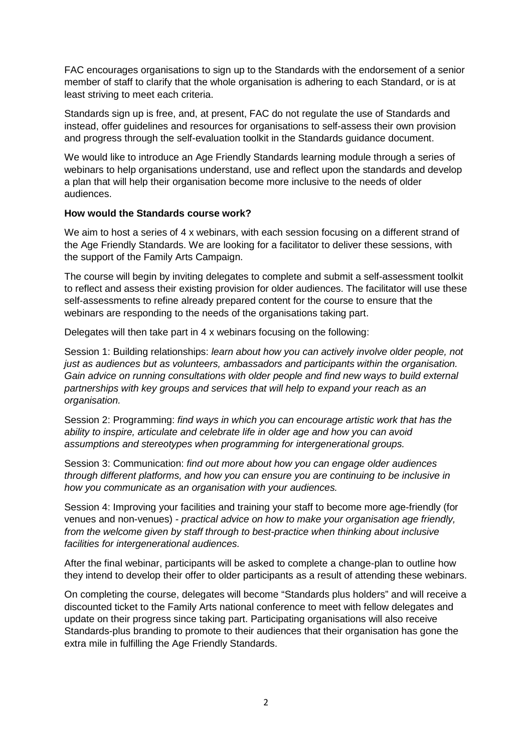FAC encourages organisations to sign up to the Standards with the endorsement of a senior member of staff to clarify that the whole organisation is adhering to each Standard, or is at least striving to meet each criteria.

Standards sign up is free, and, at present, FAC do not regulate the use of Standards and instead, offer guidelines and resources for organisations to self-assess their own provision and progress through the self-evaluation toolkit in the Standards guidance document.

We would like to introduce an Age Friendly Standards learning module through a series of webinars to help organisations understand, use and reflect upon the standards and develop a plan that will help their organisation become more inclusive to the needs of older audiences.

### **How would the Standards course work?**

We aim to host a series of 4 x webinars, with each session focusing on a different strand of the Age Friendly Standards. We are looking for a facilitator to deliver these sessions, with the support of the Family Arts Campaign.

The course will begin by inviting delegates to complete and submit a self-assessment toolkit to reflect and assess their existing provision for older audiences. The facilitator will use these self-assessments to refine already prepared content for the course to ensure that the webinars are responding to the needs of the organisations taking part.

Delegates will then take part in 4 x webinars focusing on the following:

Session 1: Building relationships: *learn about how you can actively involve older people, not just as audiences but as volunteers, ambassadors and participants within the organisation. Gain advice on running consultations with older people and find new ways to build external partnerships with key groups and services that will help to expand your reach as an organisation.* 

Session 2: Programming: *find ways in which you can encourage artistic work that has the ability to inspire, articulate and celebrate life in older age and how you can avoid assumptions and stereotypes when programming for intergenerational groups.* 

Session 3: Communication: *find out more about how you can engage older audiences through different platforms, and how you can ensure you are continuing to be inclusive in how you communicate as an organisation with your audiences.* 

Session 4: Improving your facilities and training your staff to become more age-friendly (for venues and non-venues) *- practical advice on how to make your organisation age friendly, from the welcome given by staff through to best-practice when thinking about inclusive facilities for intergenerational audiences.*

After the final webinar, participants will be asked to complete a change-plan to outline how they intend to develop their offer to older participants as a result of attending these webinars.

On completing the course, delegates will become "Standards plus holders" and will receive a discounted ticket to the Family Arts national conference to meet with fellow delegates and update on their progress since taking part. Participating organisations will also receive Standards-plus branding to promote to their audiences that their organisation has gone the extra mile in fulfilling the Age Friendly Standards.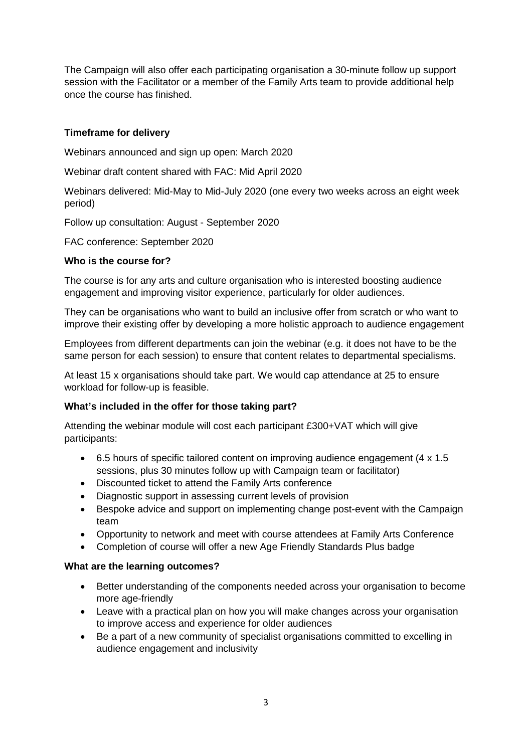The Campaign will also offer each participating organisation a 30-minute follow up support session with the Facilitator or a member of the Family Arts team to provide additional help once the course has finished.

## **Timeframe for delivery**

Webinars announced and sign up open: March 2020

Webinar draft content shared with FAC: Mid April 2020

Webinars delivered: Mid-May to Mid-July 2020 (one every two weeks across an eight week period)

Follow up consultation: August - September 2020

FAC conference: September 2020

#### **Who is the course for?**

The course is for any arts and culture organisation who is interested boosting audience engagement and improving visitor experience, particularly for older audiences.

They can be organisations who want to build an inclusive offer from scratch or who want to improve their existing offer by developing a more holistic approach to audience engagement

Employees from different departments can join the webinar (e.g. it does not have to be the same person for each session) to ensure that content relates to departmental specialisms.

At least 15 x organisations should take part. We would cap attendance at 25 to ensure workload for follow-up is feasible.

### **What's included in the offer for those taking part?**

Attending the webinar module will cost each participant £300+VAT which will give participants:

- 6.5 hours of specific tailored content on improving audience engagement (4 x 1.5 sessions, plus 30 minutes follow up with Campaign team or facilitator)
- Discounted ticket to attend the Family Arts conference
- Diagnostic support in assessing current levels of provision
- Bespoke advice and support on implementing change post-event with the Campaign team
- Opportunity to network and meet with course attendees at Family Arts Conference
- Completion of course will offer a new Age Friendly Standards Plus badge

#### **What are the learning outcomes?**

- Better understanding of the components needed across your organisation to become more age-friendly
- Leave with a practical plan on how you will make changes across your organisation to improve access and experience for older audiences
- Be a part of a new community of specialist organisations committed to excelling in audience engagement and inclusivity